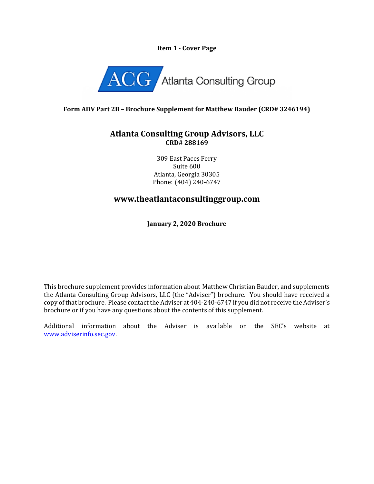#### **Item 1 - Cover Page**



### **Form ADV Part 2B – Brochure Supplement for Matthew Bauder (CRD# 3246194)**

### **Atlanta Consulting Group Advisors, LLC CRD# 288169**

309 East Paces Ferry Suite 600 Atlanta, Georgia 30305 Phone: (404) 240-6747

# **www.theatlantaconsultinggroup.com**

**January 2, 2020 Brochure**

This brochure supplement provides information about Matthew Christian Bauder, and supplements the Atlanta Consulting Group Advisors, LLC (the "Adviser") brochure. You should have received a copy of that brochure. Please contact the Adviser at 404-240-6747 if you did not receive the Adviser's brochure or if you have any questions about the contents of this supplement.

Additional information about the Adviser is available on the SEC's website at [www.adviserinfo.sec.gov.](http://www.adviserinfo.sec.gov/)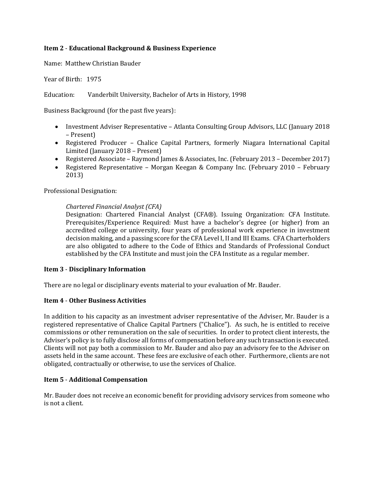### **Item 2** - **Educational Background & Business Experience**

Name: Matthew Christian Bauder

Year of Birth: 1975

Education: Vanderbilt University, Bachelor of Arts in History, 1998

Business Background (for the past five years):

- Investment Adviser Representative Atlanta Consulting Group Advisors, LLC (January 2018 – Present)
- Registered Producer Chalice Capital Partners, formerly Niagara International Capital Limited (January 2018 – Present)
- Registered Associate Raymond James & Associates, Inc. (February 2013 December 2017)
- Registered Representative Morgan Keegan & Company Inc. (February 2010 February 2013)

Professional Designation:

#### *Chartered Financial Analyst (CFA)*

Designation: Chartered Financial Analyst (CFA®). Issuing Organization: CFA Institute. Prerequisites/Experience Required: Must have a bachelor's degree (or higher) from an accredited college or university, four years of professional work experience in investment decision making, and a passing score for the CFA Level I, II and III Exams. CFA Charterholders are also obligated to adhere to the Code of Ethics and Standards of Professional Conduct established by the CFA Institute and must join the CFA Institute as a regular member.

#### **Item 3** - **Disciplinary Information**

There are no legal or disciplinary events material to your evaluation of Mr. Bauder.

#### **Item 4** - **Other Business Activities**

In addition to his capacity as an investment adviser representative of the Adviser, Mr. Bauder is a registered representative of Chalice Capital Partners ("Chalice"). As such, he is entitled to receive commissions or other remuneration on the sale of securities. In order to protect client interests, the Adviser's policy is to fully disclose all forms of compensation before any such transaction is executed. Clients will not pay both a commission to Mr. Bauder and also pay an advisory fee to the Adviser on assets held in the same account. These fees are exclusive of each other. Furthermore, clients are not obligated, contractually or otherwise, to use the services of Chalice.

#### **Item 5** - **Additional Compensation**

Mr. Bauder does not receive an economic benefit for providing advisory services from someone who is not a client.